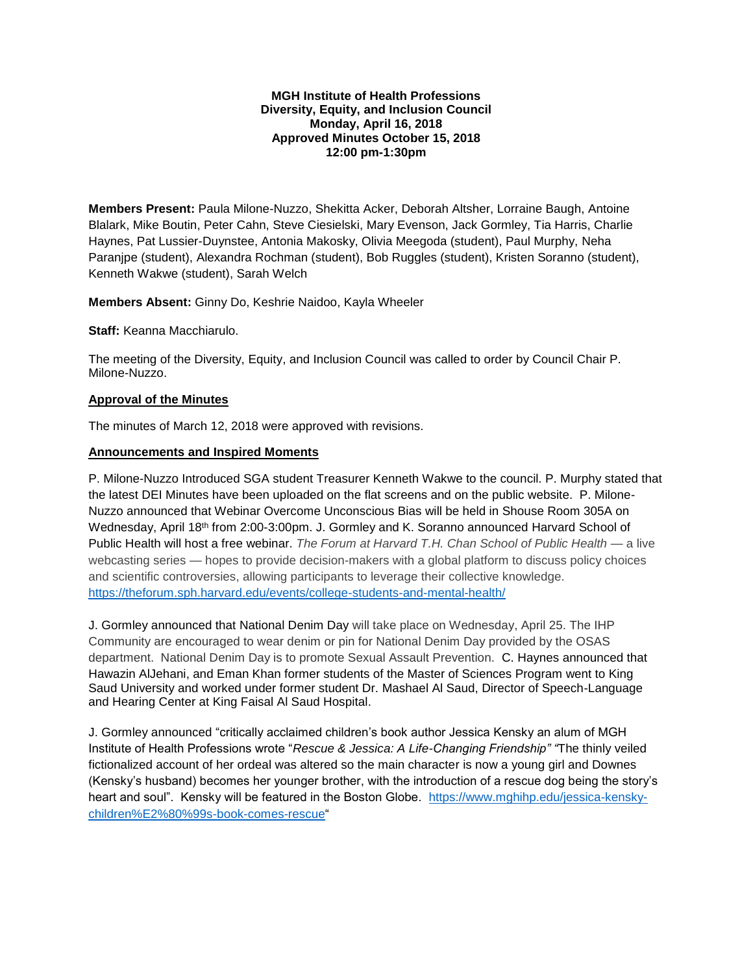#### **MGH Institute of Health Professions Diversity, Equity, and Inclusion Council Monday, April 16, 2018 Approved Minutes October 15, 2018 12:00 pm-1:30pm**

**Members Present:** Paula Milone-Nuzzo, Shekitta Acker, Deborah Altsher, Lorraine Baugh, Antoine Blalark, Mike Boutin, Peter Cahn, Steve Ciesielski, Mary Evenson, Jack Gormley, Tia Harris, Charlie Haynes, Pat Lussier-Duynstee, Antonia Makosky, Olivia Meegoda (student), Paul Murphy, Neha Paranjpe (student), Alexandra Rochman (student), Bob Ruggles (student), Kristen Soranno (student), Kenneth Wakwe (student), Sarah Welch

**Members Absent:** Ginny Do, Keshrie Naidoo, Kayla Wheeler

**Staff:** Keanna Macchiarulo.

The meeting of the Diversity, Equity, and Inclusion Council was called to order by Council Chair P. Milone-Nuzzo.

## **Approval of the Minutes**

The minutes of March 12, 2018 were approved with revisions.

#### **Announcements and Inspired Moments**

P. Milone-Nuzzo Introduced SGA student Treasurer Kenneth Wakwe to the council. P. Murphy stated that the latest DEI Minutes have been uploaded on the flat screens and on the public website. P. Milone-Nuzzo announced that Webinar Overcome Unconscious Bias will be held in Shouse Room 305A on Wednesday, April 18<sup>th</sup> from 2:00-3:00pm. J. Gormley and K. Soranno announced Harvard School of Public Health will host a free webinar. *The Forum at Harvard T.H. Chan School of Public Health* — a live webcasting series — hopes to provide decision-makers with a global platform to discuss policy choices and scientific controversies, allowing participants to leverage their collective knowledge. <https://theforum.sph.harvard.edu/events/college-students-and-mental-health/>

J. Gormley announced that National Denim Day will take place on Wednesday, April 25. The IHP Community are encouraged to wear denim or pin for National Denim Day provided by the OSAS department. National Denim Day is to promote Sexual Assault Prevention. C. Haynes announced that Hawazin AlJehani, and Eman Khan former students of the Master of Sciences Program went to King Saud University and worked under former student Dr. Mashael Al Saud, Director of Speech-Language and Hearing Center at King Faisal Al Saud Hospital.

J. Gormley announced "critically acclaimed children's book author Jessica Kensky an alum of MGH Institute of Health Professions wrote "*Rescue & Jessica: A Life-Changing Friendship" "*The thinly veiled fictionalized account of her ordeal was altered so the main character is now a young girl and Downes (Kensky's husband) becomes her younger brother, with the introduction of a rescue dog being the story's heart and soul". Kensky will be featured in the Boston Globe. [https://www.mghihp.edu/jessica-kensky](https://www.mghihp.edu/jessica-kensky-children%E2%80%99s-book-comes-rescue)[children%E2%80%99s-book-comes-rescue"](https://www.mghihp.edu/jessica-kensky-children%E2%80%99s-book-comes-rescue)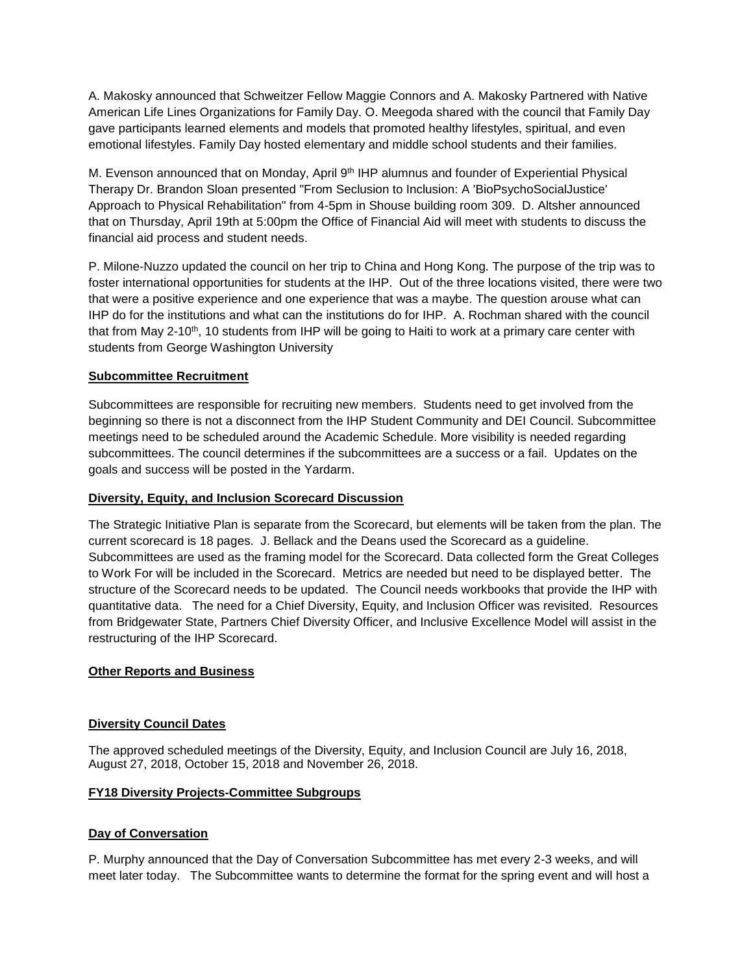A. Makosky announced that Schweitzer Fellow Maggie Connors and A. Makosky Partnered with Native American Life Lines Organizations for Family Day. O. Meegoda shared with the council that Family Day gave participants learned elements and models that promoted healthy lifestyles, spiritual, and even emotional lifestyles. Family Day hosted elementary and middle school students and their families.

M. Evenson announced that on Monday, April 9<sup>th</sup> IHP alumnus and founder of Experiential Physical Therapy Dr. Brandon Sloan presented "From Seclusion to Inclusion: A 'BioPsychoSocialJustice' Approach to Physical Rehabilitation" from 4-5pm in Shouse building room 309. D. Altsher announced that on Thursday, April 19th at 5:00pm the Office of Financial Aid will meet with students to discuss the financial aid process and student needs.

P. Milone-Nuzzo updated the council on her trip to China and Hong Kong. The purpose of the trip was to foster international opportunities for students at the IHP. Out of the three locations visited, there were two that were a positive experience and one experience that was a maybe. The question arouse what can IHP do for the institutions and what can the institutions do for IHP. A. Rochman shared with the council that from May 2-10<sup>th</sup>, 10 students from IHP will be going to Haiti to work at a primary care center with students from George Washington University

# **Subcommittee Recruitment**

Subcommittees are responsible for recruiting new members. Students need to get involved from the beginning so there is not a disconnect from the IHP Student Community and DEI Council. Subcommittee meetings need to be scheduled around the Academic Schedule. More visibility is needed regarding subcommittees. The council determines if the subcommittees are a success or a fail. Updates on the goals and success will be posted in the Yardarm.

## **Diversity, Equity, and Inclusion Scorecard Discussion**

The Strategic Initiative Plan is separate from the Scorecard, but elements will be taken from the plan. The current scorecard is 18 pages. J. Bellack and the Deans used the Scorecard as a guideline. Subcommittees are used as the framing model for the Scorecard. Data collected form the Great Colleges to Work For will be included in the Scorecard. Metrics are needed but need to be displayed better. The structure of the Scorecard needs to be updated. The Council needs workbooks that provide the IHP with quantitative data. The need for a Chief Diversity, Equity, and Inclusion Officer was revisited. Resources from Bridgewater State, Partners Chief Diversity Officer, and Inclusive Excellence Model will assist in the restructuring of the IHP Scorecard.

## **Other Reports and Business**

## **Diversity Council Dates**

The approved scheduled meetings of the Diversity, Equity, and Inclusion Council are July 16, 2018, August 27, 2018, October 15, 2018 and November 26, 2018.

## **FY18 Diversity Projects-Committee Subgroups**

## **Day of Conversation**

P. Murphy announced that the Day of Conversation Subcommittee has met every 2-3 weeks, and will meet later today. The Subcommittee wants to determine the format for the spring event and will host a